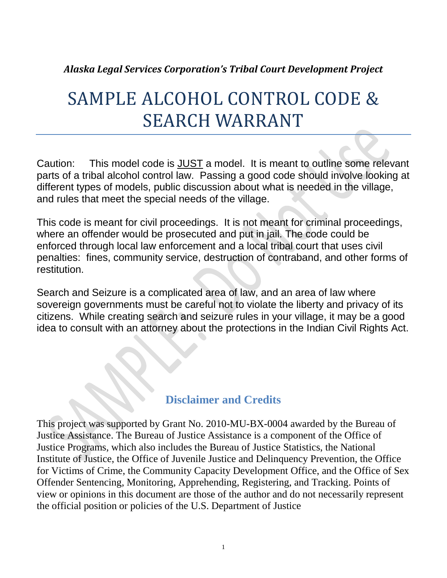#### *Alaska Legal Services Corporation's Tribal Court Development Project*

# SAMPLE ALCOHOL CONTROL CODE & SEARCH WARRANT

Caution: This model code is JUST a model. It is meant to outline some relevant parts of a tribal alcohol control law. Passing a good code should involve looking at different types of models, public discussion about what is needed in the village, and rules that meet the special needs of the village.

This code is meant for civil proceedings. It is not meant for criminal proceedings, where an offender would be prosecuted and put in jail. The code could be enforced through local law enforcement and a local tribal court that uses civil penalties: fines, community service, destruction of contraband, and other forms of restitution.

Search and Seizure is a complicated area of law, and an area of law where sovereign governments must be careful not to violate the liberty and privacy of its citizens. While creating search and seizure rules in your village, it may be a good idea to consult with an attorney about the protections in the Indian Civil Rights Act.

### **Disclaimer and Credits**

This project was supported by Grant No. 2010-MU-BX-0004 awarded by the Bureau of Justice Assistance. The Bureau of Justice Assistance is a component of the Office of Justice Programs, which also includes the Bureau of Justice Statistics, the National Institute of Justice, the Office of Juvenile Justice and Delinquency Prevention, the Office for Victims of Crime, the Community Capacity Development Office, and the Office of Sex Offender Sentencing, Monitoring, Apprehending, Registering, and Tracking. Points of view or opinions in this document are those of the author and do not necessarily represent the official position or policies of the U.S. Department of Justice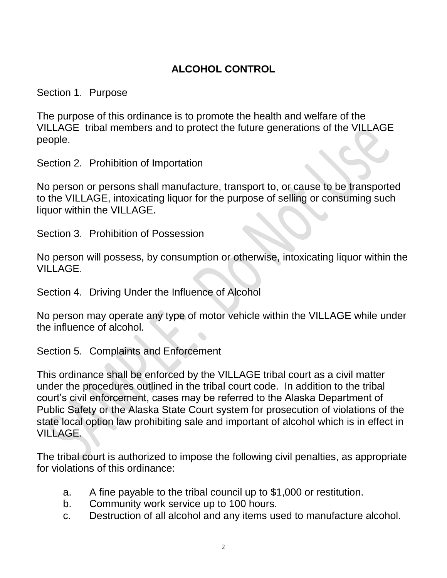## **ALCOHOL CONTROL**

Section 1. Purpose

The purpose of this ordinance is to promote the health and welfare of the VILLAGE tribal members and to protect the future generations of the VILLAGE people.

Section 2. Prohibition of Importation

No person or persons shall manufacture, transport to, or cause to be transported to the VILLAGE, intoxicating liquor for the purpose of selling or consuming such liquor within the VILLAGE.

Section 3. Prohibition of Possession

No person will possess, by consumption or otherwise, intoxicating liquor within the VILLAGE.

Section 4. Driving Under the Influence of Alcohol

No person may operate any type of motor vehicle within the VILLAGE while under the influence of alcohol.

Section 5. Complaints and Enforcement

This ordinance shall be enforced by the VILLAGE tribal court as a civil matter under the procedures outlined in the tribal court code. In addition to the tribal court's civil enforcement, cases may be referred to the Alaska Department of Public Safety or the Alaska State Court system for prosecution of violations of the state local option law prohibiting sale and important of alcohol which is in effect in VILLAGE.

The tribal court is authorized to impose the following civil penalties, as appropriate for violations of this ordinance:

- a. A fine payable to the tribal council up to \$1,000 or restitution.
- b. Community work service up to 100 hours.
- c. Destruction of all alcohol and any items used to manufacture alcohol.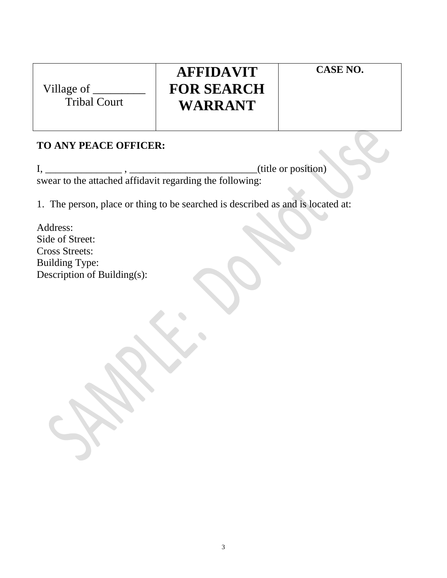| Village of |  |
|------------|--|
| T 1 1 1 1  |  |

Tribal Court

# **AFFIDAVIT FOR SEARCH WARRANT**

**CASE NO.**

### **TO ANY PEACE OFFICER:**

 $I, \underline{\hspace{1cm}}$  ,  $\underline{\hspace{1cm}}$  ,  $\underline{\hspace{1cm}}$  ,  $\underline{\hspace{1cm}}$  ,  $\underline{\hspace{1cm}}$  ,  $\underline{\hspace{1cm}}$  (title or position) swear to the attached affidavit regarding the following:

1. The person, place or thing to be searched is described as and is located at:

Address: Side of Street: Cross Streets: Building Type: Description of Building(s):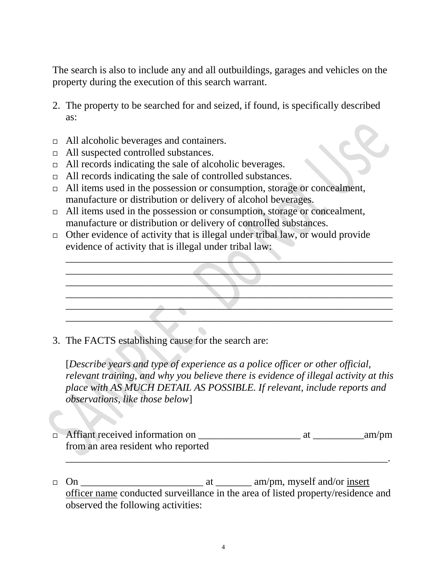The search is also to include any and all outbuildings, garages and vehicles on the property during the execution of this search warrant.

- 2. The property to be searched for and seized, if found, is specifically described as:
- All alcoholic beverages and containers.
- □ All suspected controlled substances.
- □ All records indicating the sale of alcoholic beverages.
- $\Box$  All records indicating the sale of controlled substances.
- $\Box$  All items used in the possession or consumption, storage or concealment, manufacture or distribution or delivery of alcohol beverages.
- $\Box$  All items used in the possession or consumption, storage or concealment, manufacture or distribution or delivery of controlled substances.
- $\Box$  Other evidence of activity that is illegal under tribal law, or would provide evidence of activity that is illegal under tribal law:



3. The FACTS establishing cause for the search are:

[*Describe years and type of experience as a police officer or other official, relevant training, and why you believe there is evidence of illegal activity at this place with AS MUCH DETAIL AS POSSIBLE. If relevant, include reports and observations, like those below*]

 Affiant received information on \_\_\_\_\_\_\_\_\_\_\_\_\_\_\_\_\_\_\_\_ at \_\_\_\_\_\_\_\_\_\_am/pm from an area resident who reported

\_\_\_\_\_\_\_\_\_\_\_\_\_\_\_\_\_\_\_\_\_\_\_\_\_\_\_\_\_\_\_\_\_\_\_\_\_\_\_\_\_\_\_\_\_\_\_\_\_\_\_\_\_\_\_\_\_\_\_\_\_\_\_.

 On \_\_\_\_\_\_\_\_\_\_\_\_\_\_\_\_\_\_\_\_\_\_\_\_ at \_\_\_\_\_\_\_ am/pm, myself and/or insert officer name conducted surveillance in the area of listed property/residence and observed the following activities: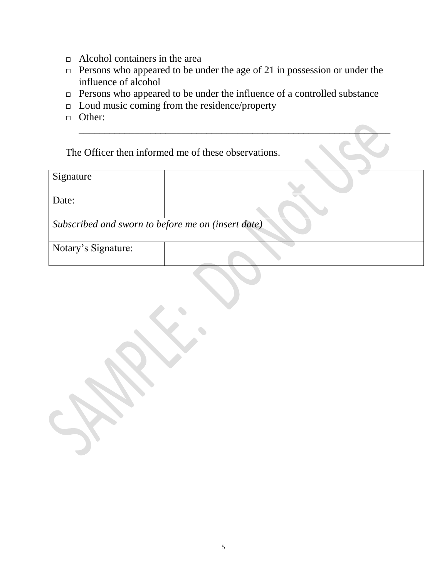- Alcohol containers in the area
- $\Box$  Persons who appeared to be under the age of 21 in possession or under the influence of alcohol
- $\Box$  Persons who appeared to be under the influence of a controlled substance

\_\_\_\_\_\_\_\_\_\_\_\_\_\_\_\_\_\_\_\_\_\_\_\_\_\_\_\_\_\_\_\_\_\_\_\_\_\_\_\_\_\_\_\_\_\_\_\_\_\_\_\_\_\_\_\_\_\_\_\_\_

- $\Box$  Loud music coming from the residence/property
- **D** Other:

The Officer then informed me of these observations.

| Signature                                          |  |  |
|----------------------------------------------------|--|--|
| Date:                                              |  |  |
| Subscribed and sworn to before me on (insert date) |  |  |
| Notary's Signature:                                |  |  |